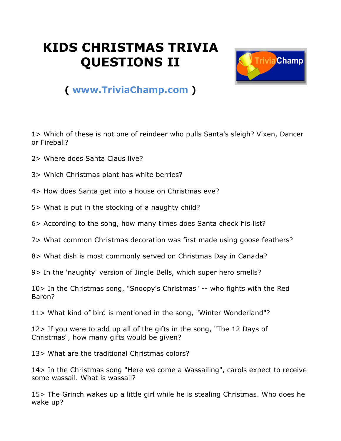## **KIDS CHRISTMAS TRIVIA QUESTIONS II**



## **( [www.TriviaChamp.com](http://www.triviachamp.com/) )**

1> Which of these is not one of reindeer who pulls Santa's sleigh? Vixen, Dancer or Fireball?

- 2> Where does Santa Claus live?
- 3> Which Christmas plant has white berries?
- 4> How does Santa get into a house on Christmas eve?
- 5> What is put in the stocking of a naughty child?
- 6> According to the song, how many times does Santa check his list?
- 7> What common Christmas decoration was first made using goose feathers?
- 8> What dish is most commonly served on Christmas Day in Canada?
- 9> In the 'naughty' version of Jingle Bells, which super hero smells?

10> In the Christmas song, "Snoopy's Christmas" -- who fights with the Red Baron?

11> What kind of bird is mentioned in the song, "Winter Wonderland"?

12> If you were to add up all of the gifts in the song, "The 12 Days of Christmas", how many gifts would be given?

13> What are the traditional Christmas colors?

14> In the Christmas song "Here we come a Wassailing", carols expect to receive some wassail. What is wassail?

15> The Grinch wakes up a little girl while he is stealing Christmas. Who does he wake up?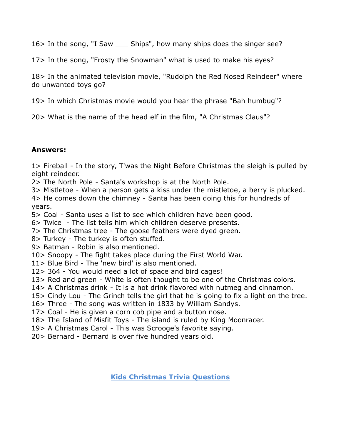16> In the song, "I Saw \_\_\_ Ships", how many ships does the singer see?

17> In the song, "Frosty the Snowman" what is used to make his eyes?

18> In the animated television movie, "Rudolph the Red Nosed Reindeer" where do unwanted toys go?

19> In which Christmas movie would you hear the phrase "Bah humbug"?

20> What is the name of the head elf in the film, "A Christmas Claus"?

## **Answers:**

1> Fireball - In the story, T'was the Night Before Christmas the sleigh is pulled by eight reindeer.

2> The North Pole - Santa's workshop is at the North Pole.

3> Mistletoe - When a person gets a kiss under the mistletoe, a berry is plucked.

4> He comes down the chimney - Santa has been doing this for hundreds of years.

5> Coal - Santa uses a list to see which children have been good.

6> Twice - The list tells him which children deserve presents.

7> The Christmas tree - The goose feathers were dyed green.

8> Turkey - The turkey is often stuffed.

9> Batman - Robin is also mentioned.

10> Snoopy - The fight takes place during the First World War.

11> Blue Bird - The 'new bird' is also mentioned.

12> 364 - You would need a lot of space and bird cages!

13> Red and green - White is often thought to be one of the Christmas colors.

14> A Christmas drink - It is a hot drink flavored with nutmeg and cinnamon.

15> Cindy Lou - The Grinch tells the girl that he is going to fix a light on the tree.

16> Three - The song was written in 1833 by William Sandys.

17> Coal - He is given a corn cob pipe and a button nose.

18> The Island of Misfit Toys - The island is ruled by King Moonracer.

19> A Christmas Carol - This was Scrooge's favorite saying.

20> Bernard - Bernard is over five hundred years old.

**[Kids Christmas Trivia Questions](http://www.triviachamp.com/Kids-Christmas-Trivia-Questions.php)**